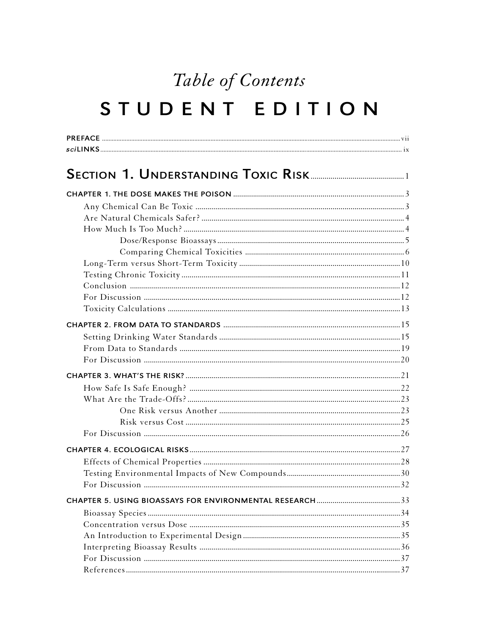## Table of Contents STUDENT EDITION

| SECTION 1. UNDERSTANDING TOXIC RISK |  |
|-------------------------------------|--|
|                                     |  |
|                                     |  |
|                                     |  |
|                                     |  |
|                                     |  |
|                                     |  |
|                                     |  |
|                                     |  |
|                                     |  |
|                                     |  |
|                                     |  |
|                                     |  |
|                                     |  |
|                                     |  |
|                                     |  |
|                                     |  |
|                                     |  |
|                                     |  |
|                                     |  |
|                                     |  |
|                                     |  |
|                                     |  |
|                                     |  |
|                                     |  |
|                                     |  |
|                                     |  |
|                                     |  |
|                                     |  |
|                                     |  |
|                                     |  |
|                                     |  |
|                                     |  |